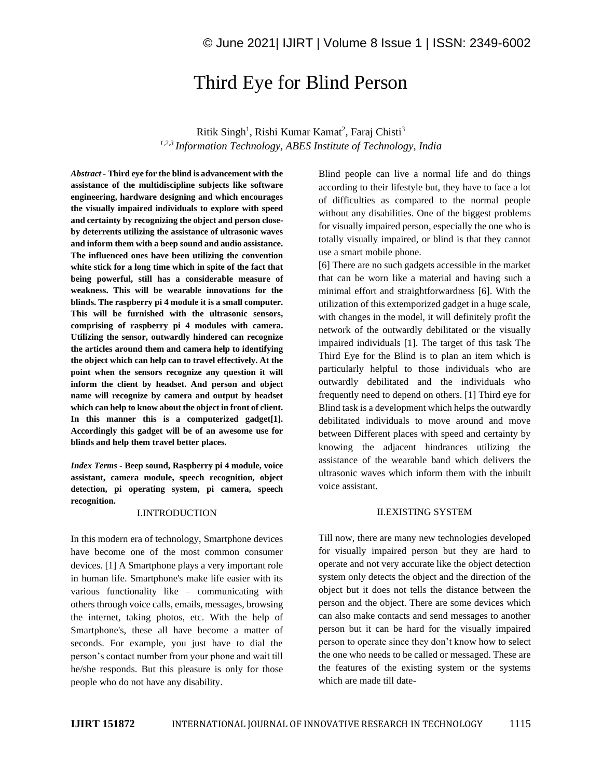# Third Eye for Blind Person

Ritik Singh<sup>1</sup>, Rishi Kumar Kamat<sup>2</sup>, Faraj Chisti<sup>3</sup> *1,2,3 Information Technology, ABES Institute of Technology, India*

*Abstract -* **Third eye for the blind is advancement with the assistance of the multidiscipline subjects like software engineering, hardware designing and which encourages the visually impaired individuals to explore with speed and certainty by recognizing the object and person closeby deterrents utilizing the assistance of ultrasonic waves and inform them with a beep sound and audio assistance. The influenced ones have been utilizing the convention white stick for a long time which in spite of the fact that being powerful, still has a considerable measure of weakness. This will be wearable innovations for the blinds. The raspberry pi 4 module it is a small computer. This will be furnished with the ultrasonic sensors, comprising of raspberry pi 4 modules with camera. Utilizing the sensor, outwardly hindered can recognize the articles around them and camera help to identifying the object which can help can to travel effectively. At the point when the sensors recognize any question it will inform the client by headset. And person and object name will recognize by camera and output by headset which can help to know about the object in front of client. In this manner this is a computerized gadget[1]. Accordingly this gadget will be of an awesome use for blinds and help them travel better places.**

*Index Terms -* **Beep sound, Raspberry pi 4 module, voice assistant, camera module, speech recognition, object detection, pi operating system, pi camera, speech recognition.**

#### I.INTRODUCTION

In this modern era of technology, Smartphone devices have become one of the most common consumer devices. [1] A Smartphone plays a very important role in human life. Smartphone's make life easier with its various functionality like – communicating with others through voice calls, emails, messages, browsing the internet, taking photos, etc. With the help of Smartphone's, these all have become a matter of seconds. For example, you just have to dial the person's contact number from your phone and wait till he/she responds. But this pleasure is only for those people who do not have any disability.

Blind people can live a normal life and do things according to their lifestyle but, they have to face a lot of difficulties as compared to the normal people without any disabilities. One of the biggest problems for visually impaired person, especially the one who is totally visually impaired, or blind is that they cannot use a smart mobile phone.

[6] There are no such gadgets accessible in the market that can be worn like a material and having such a minimal effort and straightforwardness [6]. With the utilization of this extemporized gadget in a huge scale, with changes in the model, it will definitely profit the network of the outwardly debilitated or the visually impaired individuals [1]. The target of this task The Third Eye for the Blind is to plan an item which is particularly helpful to those individuals who are outwardly debilitated and the individuals who frequently need to depend on others. [1] Third eye for Blind task is a development which helps the outwardly debilitated individuals to move around and move between Different places with speed and certainty by knowing the adjacent hindrances utilizing the assistance of the wearable band which delivers the ultrasonic waves which inform them with the inbuilt voice assistant.

#### **II.EXISTING SYSTEM**

Till now, there are many new technologies developed for visually impaired person but they are hard to operate and not very accurate like the object detection system only detects the object and the direction of the object but it does not tells the distance between the person and the object. There are some devices which can also make contacts and send messages to another person but it can be hard for the visually impaired person to operate since they don't know how to select the one who needs to be called or messaged. These are the features of the existing system or the systems which are made till date-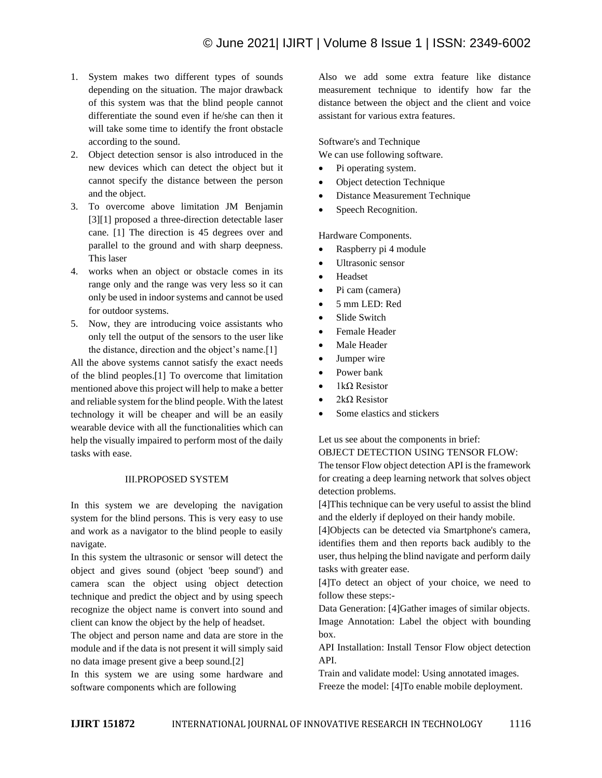- 1. System makes two different types of sounds depending on the situation. The major drawback of this system was that the blind people cannot differentiate the sound even if he/she can then it will take some time to identify the front obstacle according to the sound.
- 2. Object detection sensor is also introduced in the new devices which can detect the object but it cannot specify the distance between the person and the object.
- 3. To overcome above limitation JM Benjamin [3][1] proposed a three-direction detectable laser cane. [1] The direction is 45 degrees over and parallel to the ground and with sharp deepness. This laser
- 4. works when an object or obstacle comes in its range only and the range was very less so it can only be used in indoor systems and cannot be used for outdoor systems.
- 5. Now, they are introducing voice assistants who only tell the output of the sensors to the user like the distance, direction and the object's name.[1]

All the above systems cannot satisfy the exact needs of the blind peoples.[1] To overcome that limitation mentioned above this project will help to make a better and reliable system for the blind people. With the latest technology it will be cheaper and will be an easily wearable device with all the functionalities which can help the visually impaired to perform most of the daily tasks with ease.

# III.PROPOSED SYSTEM

In this system we are developing the navigation system for the blind persons. This is very easy to use and work as a navigator to the blind people to easily navigate.

In this system the ultrasonic or sensor will detect the object and gives sound (object 'beep sound') and camera scan the object using object detection technique and predict the object and by using speech recognize the object name is convert into sound and client can know the object by the help of headset.

The object and person name and data are store in the module and if the data is not present it will simply said no data image present give a beep sound.[2]

In this system we are using some hardware and software components which are following

Also we add some extra feature like distance measurement technique to identify how far the distance between the object and the client and voice assistant for various extra features.

Software's and Technique

We can use following software.

- Pi operating system.
- Object detection Technique
- Distance Measurement Technique
- Speech Recognition.

Hardware Components.

- Raspberry pi 4 module
- Ultrasonic sensor
- Headset
- Pi cam (camera)
- 5 mm LED: Red
- Slide Switch
- Female Header
- Male Header
- Jumper wire
- Power bank
- $1k\Omega$  Resistor
- 2kΩ Resistor
- Some elastics and stickers

Let us see about the components in brief: OBJECT DETECTION USING TENSOR FLOW:

The tensor Flow object detection API is the framework for creating a deep learning network that solves object detection problems.

[4]This technique can be very useful to assist the blind and the elderly if deployed on their handy mobile.

[4]Objects can be detected via Smartphone's camera, identifies them and then reports back audibly to the user, thus helping the blind navigate and perform daily tasks with greater ease.

[4]To detect an object of your choice, we need to follow these steps:-

Data Generation: [4]Gather images of similar objects. Image Annotation: Label the object with bounding box.

API Installation: Install Tensor Flow object detection API.

Train and validate model: Using annotated images. Freeze the model: [4]To enable mobile deployment.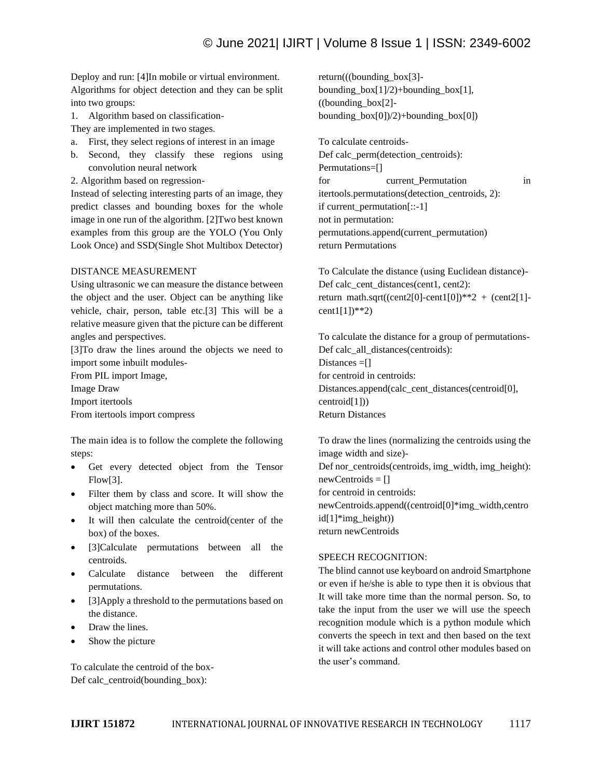Deploy and run: [4]In mobile or virtual environment. Algorithms for object detection and they can be split into two groups:

- 1. Algorithm based on classification-
- They are implemented in two stages.
- a. First, they select regions of interest in an image
- b. Second, they classify these regions using convolution neural network
- 2. Algorithm based on regression-

Instead of selecting interesting parts of an image, they predict classes and bounding boxes for the whole image in one run of the algorithm. [2]Two best known examples from this group are the YOLO (You Only Look Once) and SSD(Single Shot Multibox Detector)

#### DISTANCE MEASUREMENT

Using ultrasonic we can measure the distance between the object and the user. Object can be anything like vehicle, chair, person, table etc.[3] This will be a relative measure given that the picture can be different angles and perspectives.

[3]To draw the lines around the objects we need to import some inbuilt modules-

From PIL import Image,

Image Draw

Import itertools

From itertools import compress

The main idea is to follow the complete the following steps:

- Get every detected object from the Tensor Flow[3].
- Filter them by class and score. It will show the object matching more than 50%.
- It will then calculate the centroid(center of the box) of the boxes.
- [3]Calculate permutations between all the centroids.
- Calculate distance between the different permutations.
- [3]Apply a threshold to the permutations based on the distance.
- Draw the lines.
- Show the picture

To calculate the centroid of the box-Def calc\_centroid(bounding\_box):

return(((bounding\_box[3] bounding\_box[1]/2)+bounding\_box[1], ((bounding\_box[2] bounding  $box[0]/2$ )+bounding  $box[0]$ 

To calculate centroids-

Def calc\_perm(detection\_centroids): Permutations=[] for current\_Permutation in itertools.permutations(detection\_centroids, 2): if current\_permutation[::-1] not in permutation: permutations.append(current\_permutation) return Permutations

To Calculate the distance (using Euclidean distance)- Def calc\_cent\_distances(cent1, cent2): return math.sqrt((cent2[0]-cent1[0])\*\*2 + (cent2[1] $cent1[1]$ <sup>\*\*</sup>2)

To calculate the distance for a group of permutations-Def calc\_all\_distances(centroids): Distances =[] for centroid in centroids: Distances.append(calc\_cent\_distances(centroid[0], centroid[1])) Return Distances

To draw the lines (normalizing the centroids using the image width and size)- Def nor\_centroids(centroids, img\_width, img\_height):  $newCentroids = []$ for centroid in centroids: newCentroids.append((centroid[0]\*img\_width,centro  $id[1]*img$  height)) return newCentroids

### SPEECH RECOGNITION:

The blind cannot use keyboard on android Smartphone or even if he/she is able to type then it is obvious that It will take more time than the normal person. So, to take the input from the user we will use the speech recognition module which is a python module which converts the speech in text and then based on the text it will take actions and control other modules based on the user's command.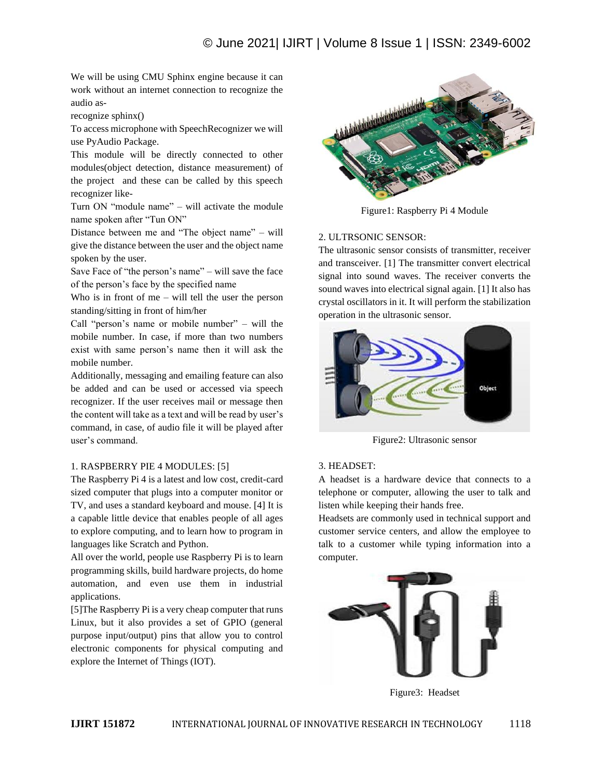We will be using CMU Sphinx engine because it can work without an internet connection to recognize the audio as-

recognize sphinx()

To access microphone with SpeechRecognizer we will use PyAudio Package.

This module will be directly connected to other modules(object detection, distance measurement) of the project and these can be called by this speech recognizer like-

Turn ON "module name" – will activate the module name spoken after "Tun ON"

Distance between me and "The object name" – will give the distance between the user and the object name spoken by the user.

Save Face of "the person's name" – will save the face of the person's face by the specified name

Who is in front of me – will tell the user the person standing/sitting in front of him/her

Call "person's name or mobile number" – will the mobile number. In case, if more than two numbers exist with same person's name then it will ask the mobile number.

Additionally, messaging and emailing feature can also be added and can be used or accessed via speech recognizer. If the user receives mail or message then the content will take as a text and will be read by user's command, in case, of audio file it will be played after user's command.

# 1. RASPBERRY PIE 4 MODULES: [5]

The Raspberry Pi 4 is a latest and low cost, credit-card sized computer that plugs into a computer monitor or TV, and uses a standard keyboard and mouse. [4] It is a capable little device that enables people of all ages to explore computing, and to learn how to program in languages like Scratch and Python.

All over the world, people use Raspberry Pi is to learn programming skills, build hardware projects, do home automation, and even use them in industrial applications.

[5]The Raspberry Pi is a very cheap computer that runs Linux, but it also provides a set of GPIO (general purpose input/output) pins that allow you to control electronic components for physical computing and explore the Internet of Things (IOT).



Figure1: Raspberry Pi 4 Module

# 2. ULTRSONIC SENSOR:

The ultrasonic sensor consists of transmitter, receiver and transceiver. [1] The transmitter convert electrical signal into sound waves. The receiver converts the sound waves into electrical signal again. [1] It also has crystal oscillators in it. It will perform the stabilization operation in the ultrasonic sensor.



Figure2: Ultrasonic sensor

# 3. HEADSET:

A headset is a hardware device that connects to a telephone or computer, allowing the user to talk and listen while keeping their hands free.

Headsets are commonly used in technical support and customer service centers, and allow the employee to talk to a customer while typing information into a computer.



Figure3: Headset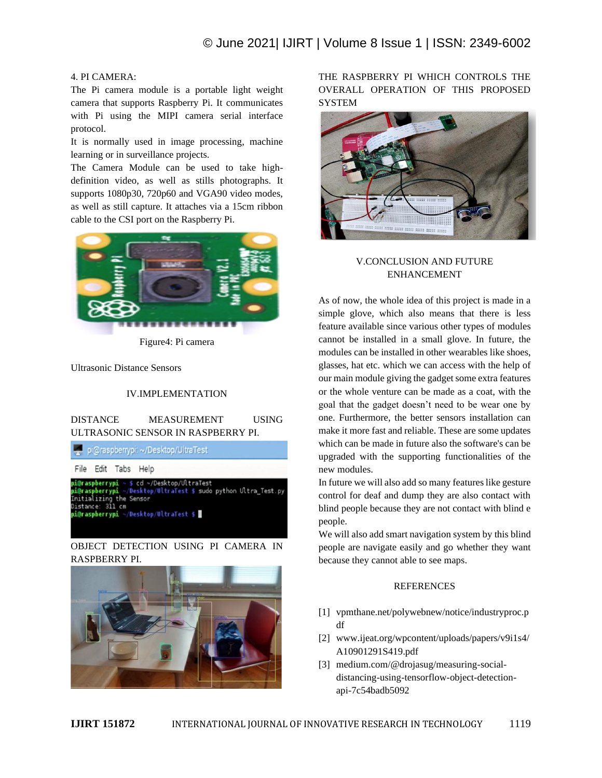# 4. PI CAMERA:

The Pi camera module is a portable light weight camera that supports Raspberry Pi. It communicates with Pi using the MIPI camera serial interface protocol.

It is normally used in image processing, machine learning or in surveillance projects.

The Camera Module can be used to take highdefinition video, as well as stills photographs. It supports 1080p30, 720p60 and VGA90 video modes, as well as still capture. It attaches via a 15cm ribbon cable to the CSI port on the Raspberry Pi.



Figure4: Pi camera

Ultrasonic Distance Sensors

# IV.IMPLEMENTATION

DISTANCE MEASUREMENT USING ULTRASONIC SENSOR IN RASPBERRY PI.

pi@raspberrypi: ~/Desktop/UltraTest File Edit Tabs Help cd ~/Desktop/UltraTes <u>@raspberrypi</u> Desktop/UltraTest \$ sudo python Ultra Test.py erryp Initializing the Sensor<br>Distance: 311 cm<br>pi@raspberrypi ~/Desktop/UltraTest \$ <mark>#</mark>

# OBJECT DETECTION USING PI CAMERA IN RASPBERRY PI.



THE RASPBERRY PI WHICH CONTROLS THE OVERALL OPERATION OF THIS PROPOSED SYSTEM



# V.CONCLUSION AND FUTURE ENHANCEMENT

As of now, the whole idea of this project is made in a simple glove, which also means that there is less feature available since various other types of modules cannot be installed in a small glove. In future, the modules can be installed in other wearables like shoes, glasses, hat etc. which we can access with the help of our main module giving the gadget some extra features or the whole venture can be made as a coat, with the goal that the gadget doesn't need to be wear one by one. Furthermore, the better sensors installation can make it more fast and reliable. These are some updates which can be made in future also the software's can be upgraded with the supporting functionalities of the new modules.

In future we will also add so many features like gesture control for deaf and dump they are also contact with blind people because they are not contact with blind e people.

We will also add smart navigation system by this blind people are navigate easily and go whether they want because they cannot able to see maps.

# **REFERENCES**

- [1] vpmthane.net/polywebnew/notice/industryproc.p df
- [2] www.ijeat.org/wpcontent/uploads/papers/v9i1s4/ A10901291S419.pdf
- [3] medium.com/@drojasug/measuring-socialdistancing-using-tensorflow-object-detectionapi-7c54badb5092